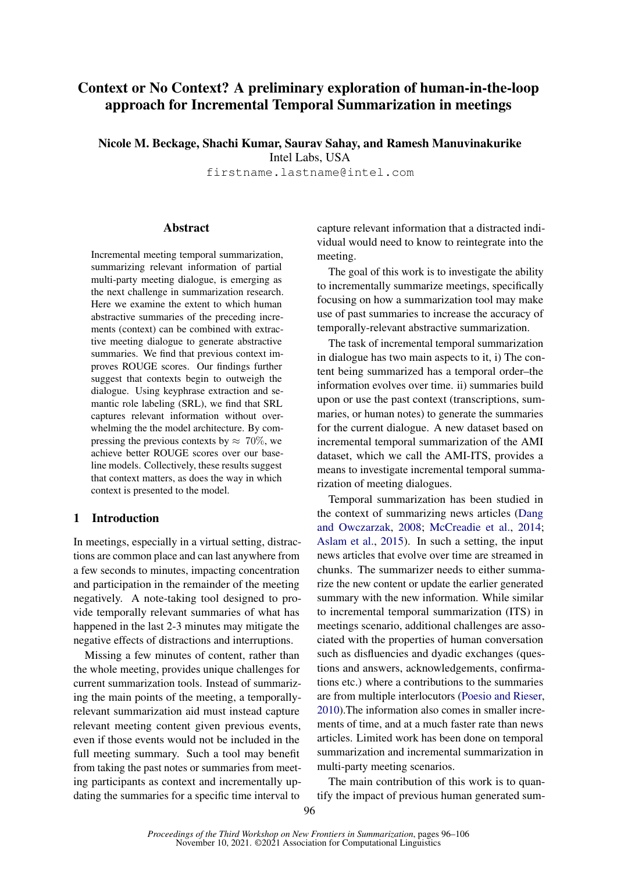# Context or No Context? A preliminary exploration of human-in-the-loop approach for Incremental Temporal Summarization in meetings

Nicole M. Beckage, Shachi Kumar, Saurav Sahay, and Ramesh Manuvinakurike Intel Labs, USA

firstname.lastname@intel.com

### **Abstract**

Incremental meeting temporal summarization, summarizing relevant information of partial multi-party meeting dialogue, is emerging as the next challenge in summarization research. Here we examine the extent to which human abstractive summaries of the preceding increments (context) can be combined with extractive meeting dialogue to generate abstractive summaries. We find that previous context improves ROUGE scores. Our findings further suggest that contexts begin to outweigh the dialogue. Using keyphrase extraction and semantic role labeling (SRL), we find that SRL captures relevant information without overwhelming the the model architecture. By compressing the previous contexts by  $\approx 70\%$ , we achieve better ROUGE scores over our baseline models. Collectively, these results suggest that context matters, as does the way in which context is presented to the model.

# 1 Introduction

In meetings, especially in a virtual setting, distractions are common place and can last anywhere from a few seconds to minutes, impacting concentration and participation in the remainder of the meeting negatively. A note-taking tool designed to provide temporally relevant summaries of what has happened in the last 2-3 minutes may mitigate the negative effects of distractions and interruptions.

Missing a few minutes of content, rather than the whole meeting, provides unique challenges for current summarization tools. Instead of summarizing the main points of the meeting, a temporallyrelevant summarization aid must instead capture relevant meeting content given previous events, even if those events would not be included in the full meeting summary. Such a tool may benefit from taking the past notes or summaries from meeting participants as context and incrementally updating the summaries for a specific time interval to

capture relevant information that a distracted individual would need to know to reintegrate into the meeting.

The goal of this work is to investigate the ability to incrementally summarize meetings, specifically focusing on how a summarization tool may make use of past summaries to increase the accuracy of temporally-relevant abstractive summarization.

The task of incremental temporal summarization in dialogue has two main aspects to it, i) The content being summarized has a temporal order–the information evolves over time. ii) summaries build upon or use the past context (transcriptions, summaries, or human notes) to generate the summaries for the current dialogue. A new dataset based on incremental temporal summarization of the AMI dataset, which we call the AMI-ITS, provides a means to investigate incremental temporal summarization of meeting dialogues.

Temporal summarization has been studied in the context of summarizing news articles [\(Dang](#page-8-0) [and Owczarzak,](#page-8-0) [2008;](#page-8-0) [McCreadie et al.,](#page-9-0) [2014;](#page-9-0) [Aslam et al.,](#page-8-1) [2015\)](#page-8-1). In such a setting, the input news articles that evolve over time are streamed in chunks. The summarizer needs to either summarize the new content or update the earlier generated summary with the new information. While similar to incremental temporal summarization (ITS) in meetings scenario, additional challenges are associated with the properties of human conversation such as disfluencies and dyadic exchanges (questions and answers, acknowledgements, confirmations etc.) where a contributions to the summaries are from multiple interlocutors [\(Poesio and Rieser,](#page-9-1) [2010\)](#page-9-1).The information also comes in smaller increments of time, and at a much faster rate than news articles. Limited work has been done on temporal summarization and incremental summarization in multi-party meeting scenarios.

The main contribution of this work is to quantify the impact of previous human generated sum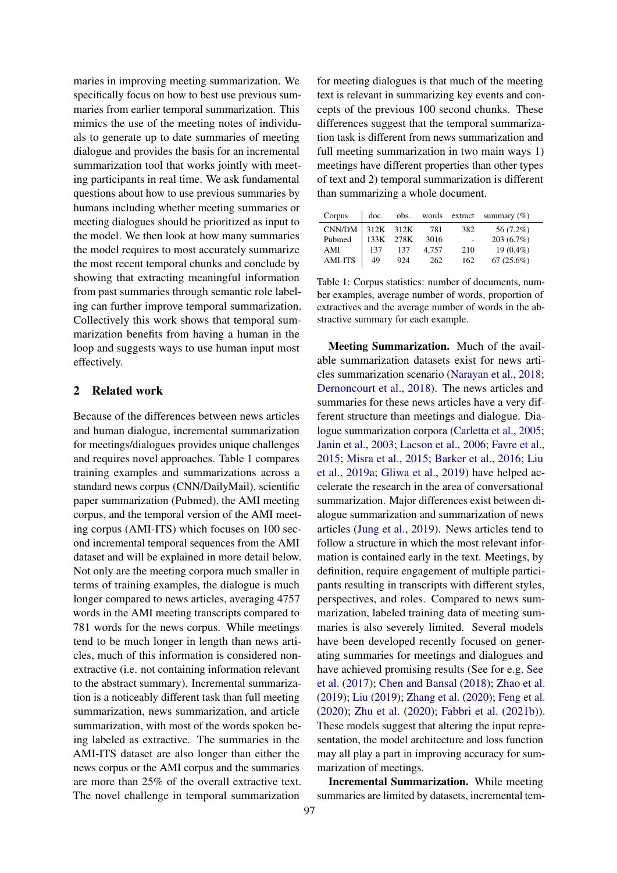maries in improving meeting summarization. We specifically focus on how to best use previous summaries from earlier temporal summarization. This mimics the use of the meeting notes of individuals to generate up to date summaries of meeting dialogue and provides the basis for an incremental summarization tool that works jointly with meeting participants in real time. We ask fundamental questions about how to use previous summaries by humans including whether meeting summaries or meeting dialogues should be prioritized as input to the model. We then look at how many summaries the model requires to most accurately summarize the most recent temporal chunks and conclude by showing that extracting meaningful information from past summaries through semantic role labeling can further improve temporal summarization. Collectively this work shows that temporal summarization benefits from having a human in the loop and suggests ways to use human input most effectively.

# 2 Related work

Because of the differences between news articles and human dialogue, incremental summarization for meetings/dialogues provides unique challenges and requires novel approaches. Table [1](#page-1-0) compares training examples and summarizations across a standard news corpus (CNN/DailyMail), scientific paper summarization (Pubmed), the AMI meeting corpus, and the temporal version of the AMI meeting corpus (AMI-ITS) which focuses on 100 second incremental temporal sequences from the AMI dataset and will be explained in more detail below. Not only are the meeting corpora much smaller in terms of training examples, the dialogue is much longer compared to news articles, averaging 4757 words in the AMI meeting transcripts compared to 781 words for the news corpus. While meetings tend to be much longer in length than news articles, much of this information is considered nonextractive (i.e. not containing information relevant to the abstract summary). Incremental summarization is a noticeably different task than full meeting summarization, news summarization, and article summarization, with most of the words spoken being labeled as extractive. The summaries in the AMI-ITS dataset are also longer than either the news corpus or the AMI corpus and the summaries are more than 25% of the overall extractive text. The novel challenge in temporal summarization

for meeting dialogues is that much of the meeting text is relevant in summarizing key events and concepts of the previous 100 second chunks. These differences suggest that the temporal summarization task is different from news summarization and full meeting summarization in two main ways 1) meetings have different properties than other types of text and 2) temporal summarization is different than summarizing a whole document.

<span id="page-1-0"></span>

| Corpus         | doc.      | obs.      |       |     | words extract summary $(\%)$ |
|----------------|-----------|-----------|-------|-----|------------------------------|
| CNN/DM         | 312K 312K |           | 781   | 382 | 56 (7.2%)                    |
| Pubmed         |           | 133K 278K | 3016  | ٠   | $203(6.7\%)$                 |
| AMI            | 137       | 137       | 4.757 | 210 | $19(0.4\%)$                  |
| <b>AMI-ITS</b> | 49        | 924       | 262   | 162 | $67(25.6\%)$                 |

Table 1: Corpus statistics: number of documents, number examples, average number of words, proportion of extractives and the average number of words in the abstractive summary for each example.

Meeting Summarization. Much of the available summarization datasets exist for news articles summarization scenario [\(Narayan et al.,](#page-9-2) [2018;](#page-9-2) [Dernoncourt et al.,](#page-8-2) [2018\)](#page-8-2). The news articles and summaries for these news articles have a very different structure than meetings and dialogue. Dialogue summarization corpora [\(Carletta et al.,](#page-8-3) [2005;](#page-8-3) [Janin et al.,](#page-8-4) [2003;](#page-8-4) [Lacson et al.,](#page-8-5) [2006;](#page-8-5) [Favre et al.,](#page-8-6) [2015;](#page-8-6) [Misra et al.,](#page-9-3) [2015;](#page-9-3) [Barker et al.,](#page-8-7) [2016;](#page-8-7) [Liu](#page-9-4) [et al.,](#page-9-4) [2019a;](#page-9-4) [Gliwa et al.,](#page-8-8) [2019\)](#page-8-8) have helped accelerate the research in the area of conversational summarization. Major differences exist between dialogue summarization and summarization of news articles [\(Jung et al.,](#page-8-9) [2019\)](#page-8-9). News articles tend to follow a structure in which the most relevant information is contained early in the text. Meetings, by definition, require engagement of multiple participants resulting in transcripts with different styles, perspectives, and roles. Compared to news summarization, labeled training data of meeting summaries is also severely limited. Several models have been developed recently focused on generating summaries for meetings and dialogues and have achieved promising results (See for e.g. [See](#page-9-5) [et al.](#page-9-5) [\(2017\)](#page-9-5); [Chen and Bansal](#page-8-10) [\(2018\)](#page-8-10); [Zhao et al.](#page-10-0) [\(2019\)](#page-10-0); [Liu](#page-9-6) [\(2019\)](#page-9-6); [Zhang et al.](#page-9-7) [\(2020\)](#page-9-7); [Feng et al.](#page-8-11) [\(2020\)](#page-8-11); [Zhu et al.](#page-10-1) [\(2020\)](#page-10-1); [Fabbri et al.](#page-8-12) [\(2021b\)](#page-8-12)). These models suggest that altering the input representation, the model architecture and loss function may all play a part in improving accuracy for summarization of meetings.

Incremental Summarization. While meeting summaries are limited by datasets, incremental tem-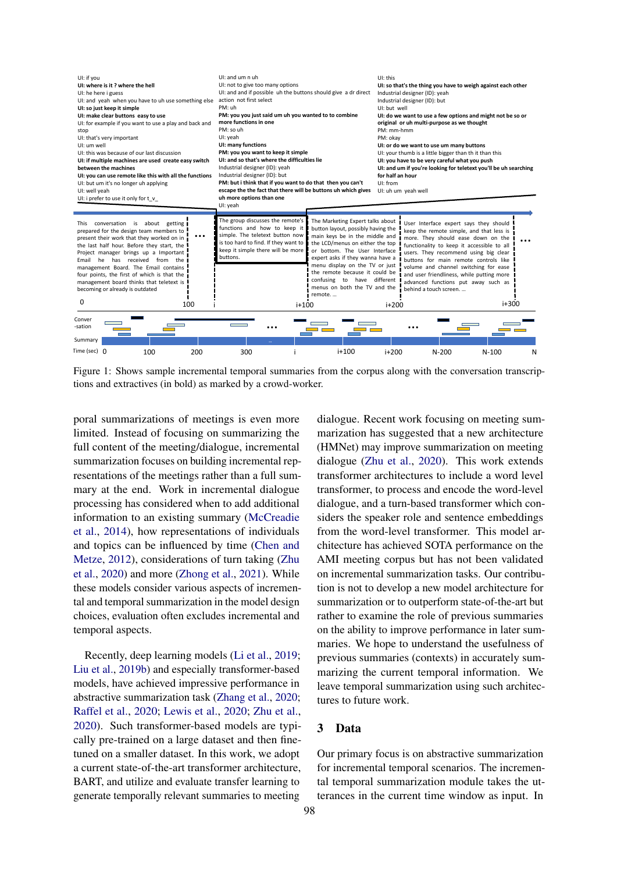<span id="page-2-0"></span>

Figure 1: Shows sample incremental temporal summaries from the corpus along with the conversation transcriptions and extractives (in bold) as marked by a crowd-worker.

poral summarizations of meetings is even more limited. Instead of focusing on summarizing the full content of the meeting/dialogue, incremental summarization focuses on building incremental representations of the meetings rather than a full summary at the end. Work in incremental dialogue processing has considered when to add additional information to an existing summary [\(McCreadie](#page-9-0) [et al.,](#page-9-0) [2014\)](#page-9-0), how representations of individuals and topics can be influenced by time [\(Chen and](#page-8-13) [Metze,](#page-8-13) [2012\)](#page-8-13), considerations of turn taking [\(Zhu](#page-10-1) [et al.,](#page-10-1) [2020\)](#page-10-1) and more [\(Zhong et al.,](#page-10-2) [2021\)](#page-10-2). While these models consider various aspects of incremental and temporal summarization in the model design choices, evaluation often excludes incremental and temporal aspects.

Recently, deep learning models [\(Li et al.,](#page-9-8) [2019;](#page-9-8) [Liu et al.,](#page-9-9) [2019b\)](#page-9-9) and especially transformer-based models, have achieved impressive performance in abstractive summarization task [\(Zhang et al.,](#page-9-7) [2020;](#page-9-7) [Raffel et al.,](#page-9-10) [2020;](#page-9-10) [Lewis et al.,](#page-9-11) [2020;](#page-9-11) [Zhu et al.,](#page-10-1) [2020\)](#page-10-1). Such transformer-based models are typically pre-trained on a large dataset and then finetuned on a smaller dataset. In this work, we adopt a current state-of-the-art transformer architecture, BART, and utilize and evaluate transfer learning to generate temporally relevant summaries to meeting

dialogue. Recent work focusing on meeting summarization has suggested that a new architecture (HMNet) may improve summarization on meeting dialogue [\(Zhu et al.,](#page-10-1) [2020\)](#page-10-1). This work extends transformer architectures to include a word level transformer, to process and encode the word-level dialogue, and a turn-based transformer which considers the speaker role and sentence embeddings from the word-level transformer. This model architecture has achieved SOTA performance on the AMI meeting corpus but has not been validated on incremental summarization tasks. Our contribution is not to develop a new model architecture for summarization or to outperform state-of-the-art but rather to examine the role of previous summaries on the ability to improve performance in later summaries. We hope to understand the usefulness of previous summaries (contexts) in accurately summarizing the current temporal information. We leave temporal summarization using such architectures to future work.

#### 3 Data

Our primary focus is on abstractive summarization for incremental temporal scenarios. The incremental temporal summarization module takes the utterances in the current time window as input. In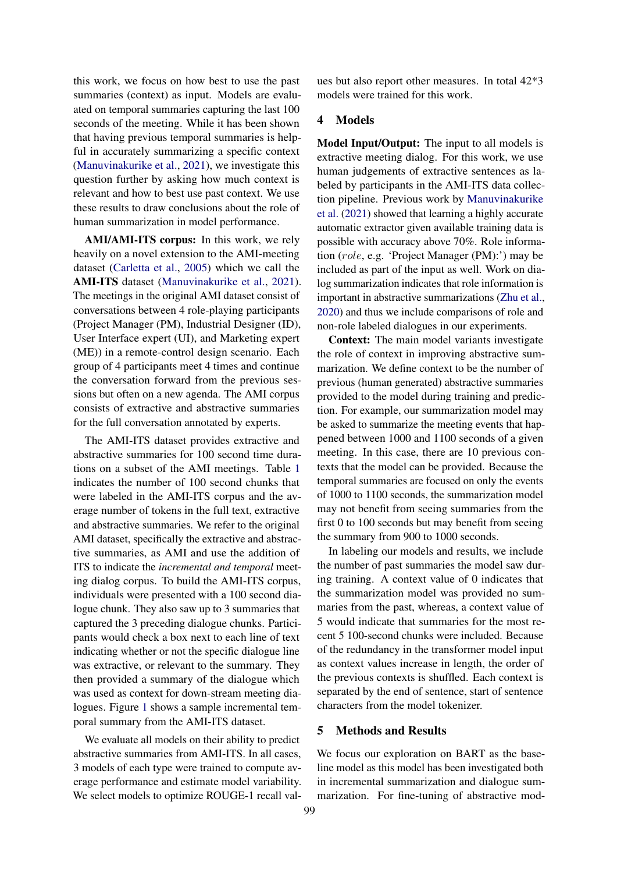this work, we focus on how best to use the past summaries (context) as input. Models are evaluated on temporal summaries capturing the last 100 seconds of the meeting. While it has been shown that having previous temporal summaries is helpful in accurately summarizing a specific context [\(Manuvinakurike et al.,](#page-9-12) [2021\)](#page-9-12), we investigate this question further by asking how much context is relevant and how to best use past context. We use these results to draw conclusions about the role of human summarization in model performance.

AMI/AMI-ITS corpus: In this work, we rely heavily on a novel extension to the AMI-meeting dataset [\(Carletta et al.,](#page-8-3) [2005\)](#page-8-3) which we call the AMI-ITS dataset [\(Manuvinakurike et al.,](#page-9-12) [2021\)](#page-9-12). The meetings in the original AMI dataset consist of conversations between 4 role-playing participants (Project Manager (PM), Industrial Designer (ID), User Interface expert (UI), and Marketing expert (ME)) in a remote-control design scenario. Each group of 4 participants meet 4 times and continue the conversation forward from the previous sessions but often on a new agenda. The AMI corpus consists of extractive and abstractive summaries for the full conversation annotated by experts.

The AMI-ITS dataset provides extractive and abstractive summaries for 100 second time durations on a subset of the AMI meetings. Table [1](#page-1-0) indicates the number of 100 second chunks that were labeled in the AMI-ITS corpus and the average number of tokens in the full text, extractive and abstractive summaries. We refer to the original AMI dataset, specifically the extractive and abstractive summaries, as AMI and use the addition of ITS to indicate the *incremental and temporal* meeting dialog corpus. To build the AMI-ITS corpus, individuals were presented with a 100 second dialogue chunk. They also saw up to 3 summaries that captured the 3 preceding dialogue chunks. Participants would check a box next to each line of text indicating whether or not the specific dialogue line was extractive, or relevant to the summary. They then provided a summary of the dialogue which was used as context for down-stream meeting dialogues. Figure [1](#page-2-0) shows a sample incremental temporal summary from the AMI-ITS dataset.

We evaluate all models on their ability to predict abstractive summaries from AMI-ITS. In all cases, 3 models of each type were trained to compute average performance and estimate model variability. We select models to optimize ROUGE-1 recall val-

ues but also report other measures. In total 42\*3 models were trained for this work.

# 4 Models

Model Input/Output: The input to all models is extractive meeting dialog. For this work, we use human judgements of extractive sentences as labeled by participants in the AMI-ITS data collection pipeline. Previous work by [Manuvinakurike](#page-9-12) [et al.](#page-9-12) [\(2021\)](#page-9-12) showed that learning a highly accurate automatic extractor given available training data is possible with accuracy above 70%. Role information (role, e.g. 'Project Manager (PM):') may be included as part of the input as well. Work on dialog summarization indicates that role information is important in abstractive summarizations [\(Zhu et al.,](#page-10-1) [2020\)](#page-10-1) and thus we include comparisons of role and non-role labeled dialogues in our experiments.

Context: The main model variants investigate the role of context in improving abstractive summarization. We define context to be the number of previous (human generated) abstractive summaries provided to the model during training and prediction. For example, our summarization model may be asked to summarize the meeting events that happened between 1000 and 1100 seconds of a given meeting. In this case, there are 10 previous contexts that the model can be provided. Because the temporal summaries are focused on only the events of 1000 to 1100 seconds, the summarization model may not benefit from seeing summaries from the first 0 to 100 seconds but may benefit from seeing the summary from 900 to 1000 seconds.

In labeling our models and results, we include the number of past summaries the model saw during training. A context value of 0 indicates that the summarization model was provided no summaries from the past, whereas, a context value of 5 would indicate that summaries for the most recent 5 100-second chunks were included. Because of the redundancy in the transformer model input as context values increase in length, the order of the previous contexts is shuffled. Each context is separated by the end of sentence, start of sentence characters from the model tokenizer.

# 5 Methods and Results

We focus our exploration on BART as the baseline model as this model has been investigated both in incremental summarization and dialogue summarization. For fine-tuning of abstractive mod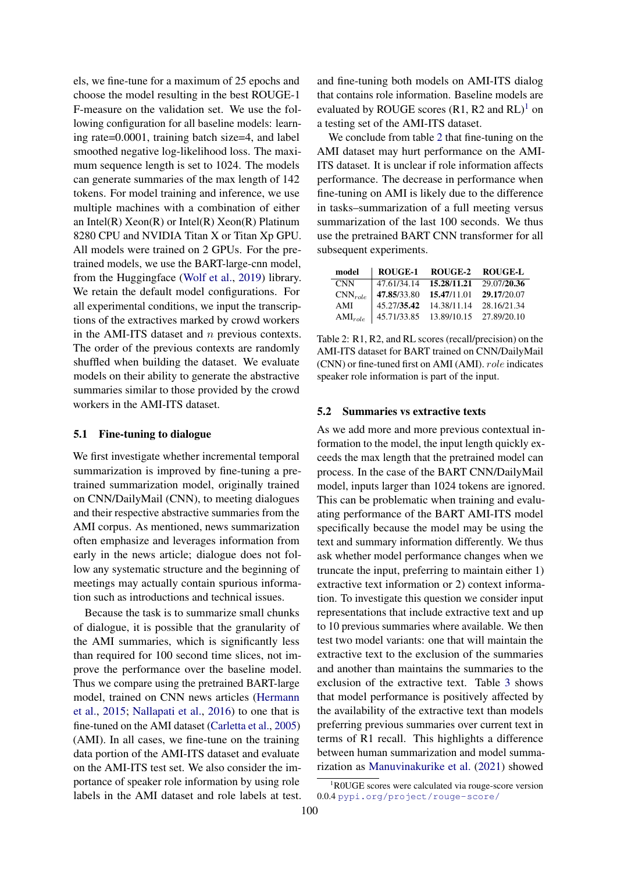els, we fine-tune for a maximum of 25 epochs and choose the model resulting in the best ROUGE-1 F-measure on the validation set. We use the following configuration for all baseline models: learning rate=0.0001, training batch size=4, and label smoothed negative log-likelihood loss. The maximum sequence length is set to 1024. The models can generate summaries of the max length of 142 tokens. For model training and inference, we use multiple machines with a combination of either an Intel(R)  $Xeon(R)$  or Intel(R)  $Xeon(R)$  Platinum 8280 CPU and NVIDIA Titan X or Titan Xp GPU. All models were trained on 2 GPUs. For the pretrained models, we use the BART-large-cnn model, from the Huggingface [\(Wolf et al.,](#page-9-13) [2019\)](#page-9-13) library. We retain the default model configurations. For all experimental conditions, we input the transcriptions of the extractives marked by crowd workers in the AMI-ITS dataset and n previous contexts. The order of the previous contexts are randomly shuffled when building the dataset. We evaluate models on their ability to generate the abstractive summaries similar to those provided by the crowd workers in the AMI-ITS dataset.

#### 5.1 Fine-tuning to dialogue

We first investigate whether incremental temporal summarization is improved by fine-tuning a pretrained summarization model, originally trained on CNN/DailyMail (CNN), to meeting dialogues and their respective abstractive summaries from the AMI corpus. As mentioned, news summarization often emphasize and leverages information from early in the news article; dialogue does not follow any systematic structure and the beginning of meetings may actually contain spurious information such as introductions and technical issues.

Because the task is to summarize small chunks of dialogue, it is possible that the granularity of the AMI summaries, which is significantly less than required for 100 second time slices, not improve the performance over the baseline model. Thus we compare using the pretrained BART-large model, trained on CNN news articles [\(Hermann](#page-8-14) [et al.,](#page-8-14) [2015;](#page-8-14) [Nallapati et al.,](#page-9-14) [2016\)](#page-9-14) to one that is fine-tuned on the AMI dataset [\(Carletta et al.,](#page-8-3) [2005\)](#page-8-3) (AMI). In all cases, we fine-tune on the training data portion of the AMI-ITS dataset and evaluate on the AMI-ITS test set. We also consider the importance of speaker role information by using role labels in the AMI dataset and role labels at test. and fine-tuning both models on AMI-ITS dialog that contains role information. Baseline models are evaluated by ROUGE scores  $(R1, R2 \text{ and } RL)^1$  $(R1, R2 \text{ and } RL)^1$  $(R1, R2 \text{ and } RL)^1$  on a testing set of the AMI-ITS dataset.

We conclude from table [2](#page-4-1) that fine-tuning on the AMI dataset may hurt performance on the AMI-ITS dataset. It is unclear if role information affects performance. The decrease in performance when fine-tuning on AMI is likely due to the difference in tasks–summarization of a full meeting versus summarization of the last 100 seconds. We thus use the pretrained BART CNN transformer for all subsequent experiments.

<span id="page-4-1"></span>

| model        | ROUGE-1     | ROUGE-2                 | <b>ROUGE-L</b> |
|--------------|-------------|-------------------------|----------------|
| <b>CNN</b>   | 47.61/34.14 | 15.28/11.21             | 29.07/20.36    |
| $CNN_{role}$ | 47.85/33.80 | 15.47/11.01             | 29.17/20.07    |
| AMI          | 45.27/35.42 | 14.38/11.14             | 28.16/21.34    |
| $AMI_{role}$ | 45.71/33.85 | 13.89/10.15 27.89/20.10 |                |

Table 2: R1, R2, and RL scores (recall/precision) on the AMI-ITS dataset for BART trained on CNN/DailyMail (CNN) or fine-tuned first on AMI (AMI). role indicates speaker role information is part of the input.

#### 5.2 Summaries vs extractive texts

As we add more and more previous contextual information to the model, the input length quickly exceeds the max length that the pretrained model can process. In the case of the BART CNN/DailyMail model, inputs larger than 1024 tokens are ignored. This can be problematic when training and evaluating performance of the BART AMI-ITS model specifically because the model may be using the text and summary information differently. We thus ask whether model performance changes when we truncate the input, preferring to maintain either 1) extractive text information or 2) context information. To investigate this question we consider input representations that include extractive text and up to 10 previous summaries where available. We then test two model variants: one that will maintain the extractive text to the exclusion of the summaries and another than maintains the summaries to the exclusion of the extractive text. Table [3](#page-5-0) shows that model performance is positively affected by the availability of the extractive text than models preferring previous summaries over current text in terms of R1 recall. This highlights a difference between human summarization and model summarization as [Manuvinakurike et al.](#page-9-12) [\(2021\)](#page-9-12) showed

<span id="page-4-0"></span><sup>&</sup>lt;sup>1</sup>R0UGE scores were calculated via rouge-score version 0.0.4 <pypi.org/project/rouge-score/>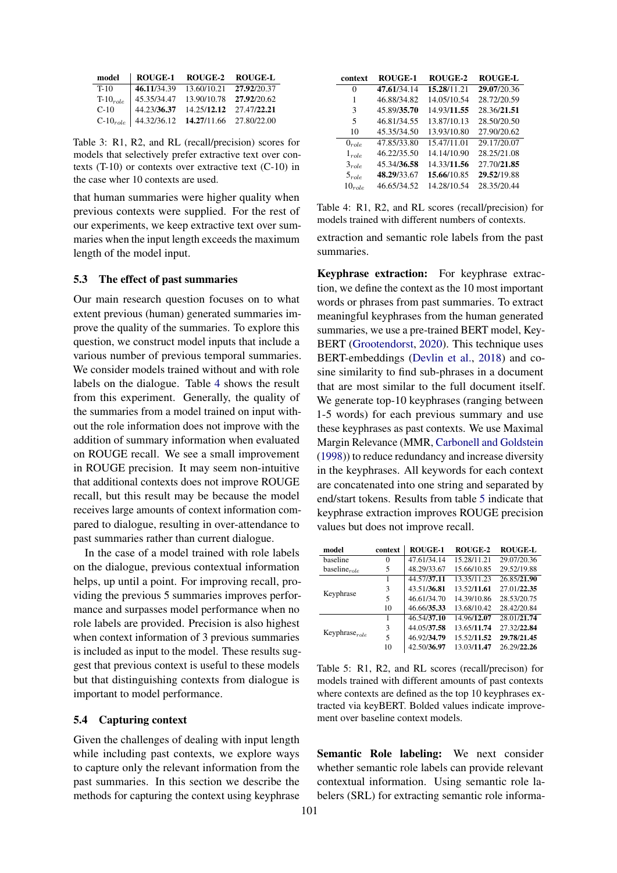<span id="page-5-0"></span>

| model         | ROUGE-1     | ROUGE-2     | <b>ROUGE-L</b>          |
|---------------|-------------|-------------|-------------------------|
| $T-10$        | 46.11/34.39 | 13.60/10.21 | 27,92/20.37             |
| $T-10_{role}$ | 45.35/34.47 | 13.90/10.78 | 27,92/20.62             |
| $C-10$        | 44.23/36.37 |             | 14.25/12.12 27.47/22.21 |
| $C-10_{role}$ | 44.32/36.12 |             | 14.27/11.66 27.80/22.00 |

Table 3: R1, R2, and RL (recall/precision) scores for models that selectively prefer extractive text over contexts (T-10) or contexts over extractive text (C-10) in the case wher 10 contexts are used.

that human summaries were higher quality when previous contexts were supplied. For the rest of our experiments, we keep extractive text over summaries when the input length exceeds the maximum length of the model input.

### 5.3 The effect of past summaries

Our main research question focuses on to what extent previous (human) generated summaries improve the quality of the summaries. To explore this question, we construct model inputs that include a various number of previous temporal summaries. We consider models trained without and with role labels on the dialogue. Table [4](#page-5-1) shows the result from this experiment. Generally, the quality of the summaries from a model trained on input without the role information does not improve with the addition of summary information when evaluated on ROUGE recall. We see a small improvement in ROUGE precision. It may seem non-intuitive that additional contexts does not improve ROUGE recall, but this result may be because the model receives large amounts of context information compared to dialogue, resulting in over-attendance to past summaries rather than current dialogue.

In the case of a model trained with role labels on the dialogue, previous contextual information helps, up until a point. For improving recall, providing the previous 5 summaries improves performance and surpasses model performance when no role labels are provided. Precision is also highest when context information of 3 previous summaries is included as input to the model. These results suggest that previous context is useful to these models but that distinguishing contexts from dialogue is important to model performance.

#### 5.4 Capturing context

Given the challenges of dealing with input length while including past contexts, we explore ways to capture only the relevant information from the past summaries. In this section we describe the methods for capturing the context using keyphrase

<span id="page-5-1"></span>

| context     | <b>ROUGE-1</b> | <b>ROUGE-2</b> | <b>ROUGE-L</b> |
|-------------|----------------|----------------|----------------|
| 0           | 47.61/34.14    | 15.28/11.21    | 29.07/20.36    |
| 1           | 46.88/34.82    | 14.05/10.54    | 28.72/20.59    |
| 3           | 45.89/35.70    | 14.93/11.55    | 28.36/21.51    |
| 5           | 46.81/34.55    | 13.87/10.13    | 28.50/20.50    |
| 10          | 45.35/34.50    | 13.93/10.80    | 27.90/20.62    |
| $0_{role}$  | 47.85/33.80    | 15.47/11.01    | 29.17/20.07    |
| $1_{role}$  | 46.22/35.50    | 14.14/10.90    | 28.25/21.08    |
| $3_{role}$  | 45.34/36.58    | 14.33/11.56    | 27.70/21.85    |
| $5_{role}$  | 48.29/33.67    | 15.66/10.85    | 29.52/19.88    |
| $10_{role}$ | 46.65/34.52    | 14.28/10.54    | 28.35/20.44    |

Table 4: R1, R2, and RL scores (recall/precision) for models trained with different numbers of contexts.

extraction and semantic role labels from the past summaries.

Keyphrase extraction: For keyphrase extraction, we define the context as the 10 most important words or phrases from past summaries. To extract meaningful keyphrases from the human generated summaries, we use a pre-trained BERT model, Key-BERT [\(Grootendorst,](#page-8-15) [2020\)](#page-8-15). This technique uses BERT-embeddings [\(Devlin et al.,](#page-8-16) [2018\)](#page-8-16) and cosine similarity to find sub-phrases in a document that are most similar to the full document itself. We generate top-10 keyphrases (ranging between 1-5 words) for each previous summary and use these keyphrases as past contexts. We use Maximal Margin Relevance (MMR, [Carbonell and Goldstein](#page-8-17) [\(1998\)](#page-8-17)) to reduce redundancy and increase diversity in the keyphrases. All keywords for each context are concatenated into one string and separated by end/start tokens. Results from table [5](#page-5-2) indicate that keyphrase extraction improves ROUGE precision values but does not improve recall.

<span id="page-5-2"></span>

| model               | context | <b>ROUGE-1</b> | ROUGE-2     | <b>ROUGE-L</b> |
|---------------------|---------|----------------|-------------|----------------|
| baseline            | 0       | 47.61/34.14    | 15.28/11.21 | 29.07/20.36    |
| baseline $_{role}$  | 5       | 48.29/33.67    | 15.66/10.85 | 29.52/19.88    |
|                     |         | 44.57/37.11    | 13.35/11.23 | 26.85/21.90    |
| Keyphrase           | 3       | 43.51/36.81    | 13.52/11.61 | 27.01/22.35    |
|                     | 5       | 46.61/34.70    | 14.39/10.86 | 28.53/20.75    |
|                     | 10      | 46.66/35.33    | 13.68/10.42 | 28.42/20.84    |
|                     |         | 46.54/37.10    | 14.96/12.07 | 28.01/21.74    |
|                     | 3       | 44.05/37.58    | 13.65/11.74 | 27.32/22.84    |
| Keyphrase $_{role}$ | 5       | 46.92/34.79    | 15.52/11.52 | 29.78/21.45    |
|                     | 10      | 42.50/36.97    | 13.03/11.47 | 26.29/22.26    |

Table 5: R1, R2, and RL scores (recall/precison) for models trained with different amounts of past contexts where contexts are defined as the top 10 keyphrases extracted via keyBERT. Bolded values indicate improvement over baseline context models.

Semantic Role labeling: We next consider whether semantic role labels can provide relevant contextual information. Using semantic role labelers (SRL) for extracting semantic role informa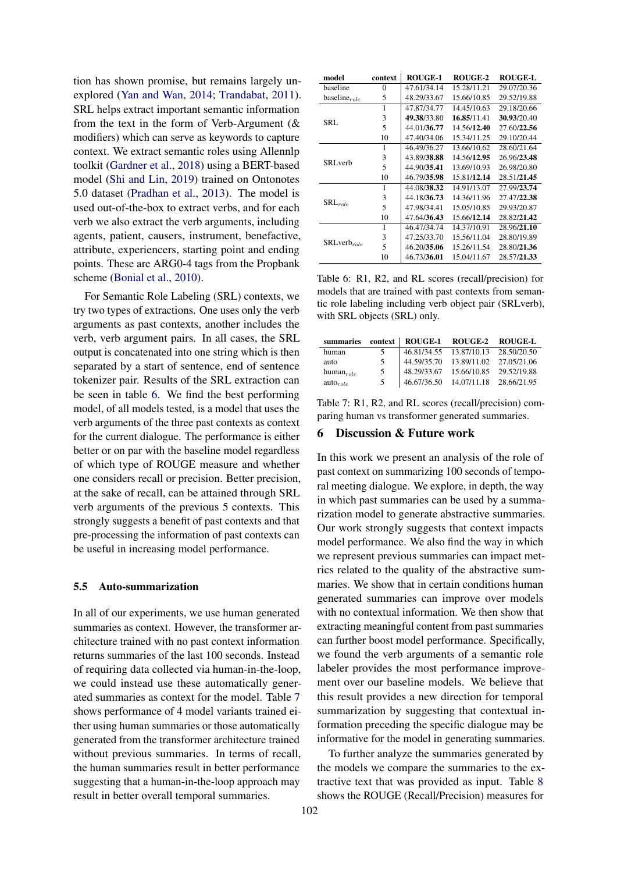tion has shown promise, but remains largely unexplored [\(Yan and Wan,](#page-9-15) [2014;](#page-9-15) [Trandabat,](#page-9-16) [2011\)](#page-9-16). SRL helps extract important semantic information from the text in the form of Verb-Argument (& modifiers) which can serve as keywords to capture context. We extract semantic roles using Allennlp toolkit [\(Gardner et al.,](#page-8-18) [2018\)](#page-8-18) using a BERT-based model [\(Shi and Lin,](#page-9-17) [2019\)](#page-9-17) trained on Ontonotes 5.0 dataset [\(Pradhan et al.,](#page-9-18) [2013\)](#page-9-18). The model is used out-of-the-box to extract verbs, and for each verb we also extract the verb arguments, including agents, patient, causers, instrument, benefactive, attribute, experiencers, starting point and ending points. These are ARG0-4 tags from the Propbank scheme [\(Bonial et al.,](#page-8-19) [2010\)](#page-8-19).

For Semantic Role Labeling (SRL) contexts, we try two types of extractions. One uses only the verb arguments as past contexts, another includes the verb, verb argument pairs. In all cases, the SRL output is concatenated into one string which is then separated by a start of sentence, end of sentence tokenizer pair. Results of the SRL extraction can be seen in table [6.](#page-6-0) We find the best performing model, of all models tested, is a model that uses the verb arguments of the three past contexts as context for the current dialogue. The performance is either better or on par with the baseline model regardless of which type of ROUGE measure and whether one considers recall or precision. Better precision, at the sake of recall, can be attained through SRL verb arguments of the previous 5 contexts. This strongly suggests a benefit of past contexts and that pre-processing the information of past contexts can be useful in increasing model performance.

### 5.5 Auto-summarization

In all of our experiments, we use human generated summaries as context. However, the transformer architecture trained with no past context information returns summaries of the last 100 seconds. Instead of requiring data collected via human-in-the-loop, we could instead use these automatically generated summaries as context for the model. Table [7](#page-6-1) shows performance of 4 model variants trained either using human summaries or those automatically generated from the transformer architecture trained without previous summaries. In terms of recall, the human summaries result in better performance suggesting that a human-in-the-loop approach may result in better overall temporal summaries.

<span id="page-6-0"></span>

| model              | context      | <b>ROUGE-1</b> | ROUGE-2     | <b>ROUGE-L</b> |
|--------------------|--------------|----------------|-------------|----------------|
| baseline           | $\mathbf{0}$ | 47.61/34.14    | 15.28/11.21 | 29.07/20.36    |
| baseline $_{role}$ | 5            | 48.29/33.67    | 15.66/10.85 | 29.52/19.88    |
|                    | 1            | 47.87/34.77    | 14.45/10.63 | 29.18/20.66    |
| SRL                | 3            | 49.38/33.80    | 16.85/11.41 | 30.93/20.40    |
|                    | 5            | 44.01/36.77    | 14.56/12.40 | 27.60/22.56    |
|                    | 10           | 47.40/34.06    | 15.34/11.25 | 29.10/20.44    |
|                    | 1            | 46.49/36.27    | 13.66/10.62 | 28.60/21.64    |
| SRL verb           | 3            | 43.89/38.88    | 14.56/12.95 | 26.96/23.48    |
|                    | 5            | 44.90/35.41    | 13.69/10.93 | 26.98/20.80    |
|                    | 10           | 46.79/35.98    | 15.81/12.14 | 28.51/21.45    |
|                    | 1            | 44.08/38.32    | 14.91/13.07 | 27.99/23.74    |
|                    | 3            | 44.18/36.73    | 14.36/11.96 | 27.47/22.38    |
| $SRL_{role}$       | 5            | 47.98/34.41    | 15.05/10.85 | 29.93/20.87    |
|                    | 10           | 47.64/36.43    | 15.66/12.14 | 28.82/21.42    |
|                    | 1            | 46.47/34.74    | 14.37/10.91 | 28.96/21.10    |
|                    | 3            | 47.25/33.70    | 15.56/11.04 | 28.80/19.89    |
| $SRLverb_{role}$   | 5            | 46.20/35.06    | 15.26/11.54 | 28.80/21.36    |
|                    | 10           | 46.73/36.01    | 15.04/11.67 | 28.57/21.33    |

Table 6: R1, R2, and RL scores (recall/precision) for models that are trained with past contexts from semantic role labeling including verb object pair (SRLverb), with SRL objects (SRL) only.

<span id="page-6-1"></span>

|                |   | summaries context   ROUGE-1 ROUGE-2 ROUGE-L |                                       |  |
|----------------|---|---------------------------------------------|---------------------------------------|--|
| human          | 5 |                                             | 46.81/34.55  13.87/10.13  28.50/20.50 |  |
| auto           | 5 |                                             | 44.59/35.70  13.89/11.02  27.05/21.06 |  |
| $human_{role}$ | 5 |                                             | 48.29/33.67 15.66/10.85 29.52/19.88   |  |
| $auto_{role}$  | 5 |                                             | 46.67/36.50  14.07/11.18  28.66/21.95 |  |

Table 7: R1, R2, and RL scores (recall/precision) comparing human vs transformer generated summaries.

#### 6 Discussion & Future work

In this work we present an analysis of the role of past context on summarizing 100 seconds of temporal meeting dialogue. We explore, in depth, the way in which past summaries can be used by a summarization model to generate abstractive summaries. Our work strongly suggests that context impacts model performance. We also find the way in which we represent previous summaries can impact metrics related to the quality of the abstractive summaries. We show that in certain conditions human generated summaries can improve over models with no contextual information. We then show that extracting meaningful content from past summaries can further boost model performance. Specifically, we found the verb arguments of a semantic role labeler provides the most performance improvement over our baseline models. We believe that this result provides a new direction for temporal summarization by suggesting that contextual information preceding the specific dialogue may be informative for the model in generating summaries.

To further analyze the summaries generated by the models we compare the summaries to the extractive text that was provided as input. Table [8](#page-7-0) shows the ROUGE (Recall/Precision) measures for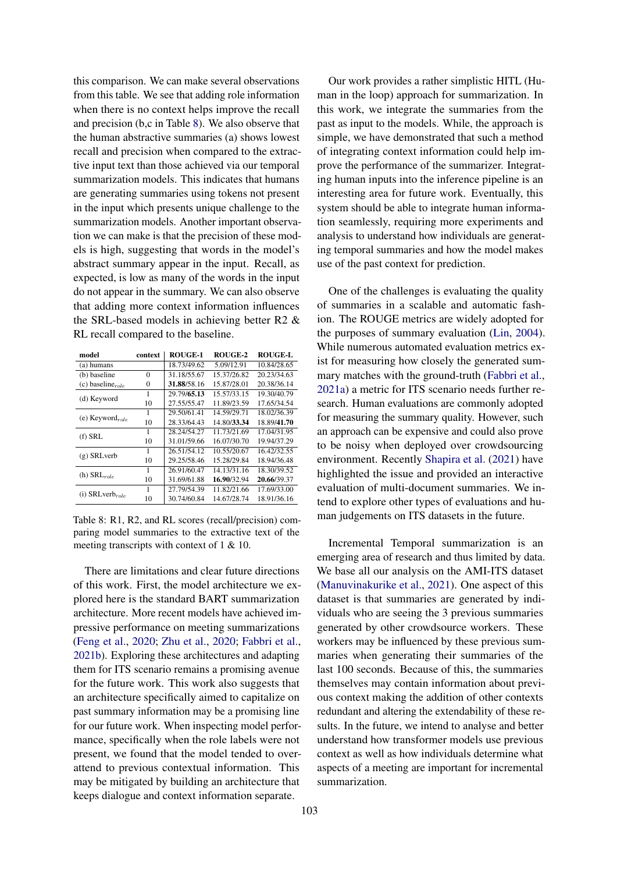this comparison. We can make several observations from this table. We see that adding role information when there is no context helps improve the recall and precision (b,c in Table [8\)](#page-7-0). We also observe that the human abstractive summaries (a) shows lowest recall and precision when compared to the extractive input text than those achieved via our temporal summarization models. This indicates that humans are generating summaries using tokens not present in the input which presents unique challenge to the summarization models. Another important observation we can make is that the precision of these models is high, suggesting that words in the model's abstract summary appear in the input. Recall, as expected, is low as many of the words in the input do not appear in the summary. We can also observe that adding more context information influences the SRL-based models in achieving better R2 & RL recall compared to the baseline.

<span id="page-7-0"></span>

| model                  | context  | <b>ROUGE-1</b> | <b>ROUGE-2</b> | <b>ROUGE-L</b> |
|------------------------|----------|----------------|----------------|----------------|
| (a) humans             |          | 18.73/49.62    | 5.09/12.91     | 10.84/28.65    |
| (b) baseline           | $\Omega$ | 31.18/55.67    | 15.37/26.82    | 20.23/34.63    |
| (c) baseline $_{role}$ | $\Omega$ | 31.88/58.16    | 15.87/28.01    | 20.38/36.14    |
| (d) Keyword            | 1        | 29.79/65.13    | 15.57/33.15    | 19.30/40.79    |
|                        | 10       | 27.55/55.47    | 11.89/23.59    | 17.65/34.54    |
|                        | 1        | 29.50/61.41    | 14.59/29.71    | 18.02/36.39    |
| (e) Keyword $_{role}$  | 10       | 28.33/64.43    | 14.80/33.34    | 18.89/41.70    |
| $(f)$ SRL              | 1        | 28.24/54.27    | 11.73/21.69    | 17.04/31.95    |
|                        | 10       | 31.01/59.66    | 16.07/30.70    | 19.94/37.29    |
| $(g)$ SRL verb         | 1        | 26.51/54.12    | 10.55/20.67    | 16.42/32.55    |
|                        | 10       | 29.25/58.46    | 15.28/29.84    | 18.94/36.48    |
| (h) $SRL_{role}$       | 1        | 26.91/60.47    | 14.13/31.16    | 18.30/39.52    |
|                        | 10       | 31.69/61.88    | 16.90/32.94    | 20.66/39.37    |
|                        |          | 27.79/54.39    | 11.82/21.66    | 17.69/33.00    |
| (i) $SRLverb_{role}$   | 10       | 30.74/60.84    | 14.67/28.74    | 18.91/36.16    |

Table 8: R1, R2, and RL scores (recall/precision) comparing model summaries to the extractive text of the meeting transcripts with context of 1 & 10.

There are limitations and clear future directions of this work. First, the model architecture we explored here is the standard BART summarization architecture. More recent models have achieved impressive performance on meeting summarizations [\(Feng et al.,](#page-8-11) [2020;](#page-8-11) [Zhu et al.,](#page-10-1) [2020;](#page-10-1) [Fabbri et al.,](#page-8-12) [2021b\)](#page-8-12). Exploring these architectures and adapting them for ITS scenario remains a promising avenue for the future work. This work also suggests that an architecture specifically aimed to capitalize on past summary information may be a promising line for our future work. When inspecting model performance, specifically when the role labels were not present, we found that the model tended to overattend to previous contextual information. This may be mitigated by building an architecture that keeps dialogue and context information separate.

Our work provides a rather simplistic HITL (Human in the loop) approach for summarization. In this work, we integrate the summaries from the past as input to the models. While, the approach is simple, we have demonstrated that such a method of integrating context information could help improve the performance of the summarizer. Integrating human inputs into the inference pipeline is an interesting area for future work. Eventually, this system should be able to integrate human information seamlessly, requiring more experiments and analysis to understand how individuals are generating temporal summaries and how the model makes use of the past context for prediction.

One of the challenges is evaluating the quality of summaries in a scalable and automatic fashion. The ROUGE metrics are widely adopted for the purposes of summary evaluation [\(Lin,](#page-9-19) [2004\)](#page-9-19). While numerous automated evaluation metrics exist for measuring how closely the generated summary matches with the ground-truth [\(Fabbri et al.,](#page-8-20) [2021a\)](#page-8-20) a metric for ITS scenario needs further research. Human evaluations are commonly adopted for measuring the summary quality. However, such an approach can be expensive and could also prove to be noisy when deployed over crowdsourcing environment. Recently [Shapira et al.](#page-9-20) [\(2021\)](#page-9-20) have highlighted the issue and provided an interactive evaluation of multi-document summaries. We intend to explore other types of evaluations and human judgements on ITS datasets in the future.

Incremental Temporal summarization is an emerging area of research and thus limited by data. We base all our analysis on the AMI-ITS dataset [\(Manuvinakurike et al.,](#page-9-12) [2021\)](#page-9-12). One aspect of this dataset is that summaries are generated by individuals who are seeing the 3 previous summaries generated by other crowdsource workers. These workers may be influenced by these previous summaries when generating their summaries of the last 100 seconds. Because of this, the summaries themselves may contain information about previous context making the addition of other contexts redundant and altering the extendability of these results. In the future, we intend to analyse and better understand how transformer models use previous context as well as how individuals determine what aspects of a meeting are important for incremental summarization.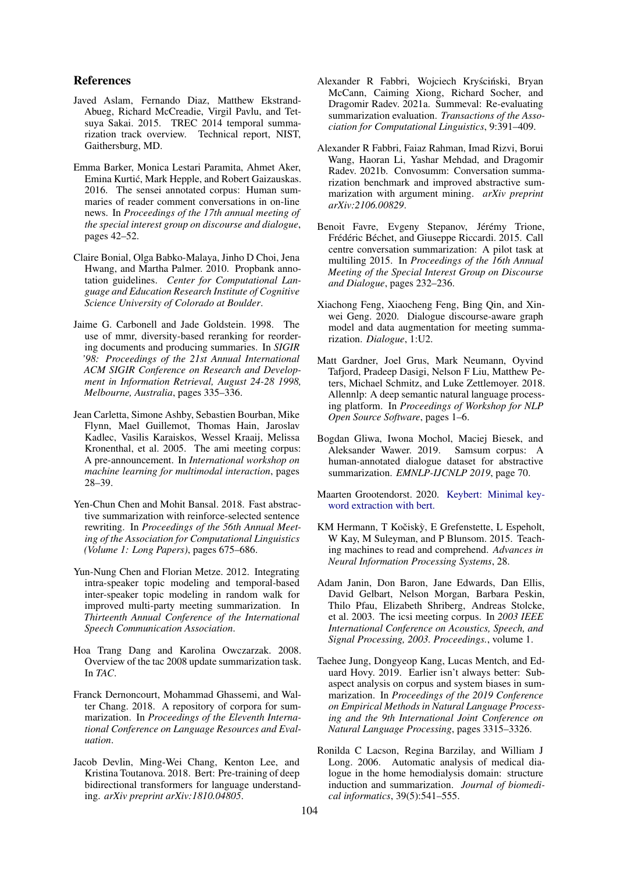### References

- <span id="page-8-1"></span>Javed Aslam, Fernando Diaz, Matthew Ekstrand-Abueg, Richard McCreadie, Virgil Pavlu, and Tetsuya Sakai. 2015. TREC 2014 temporal summarization track overview. Technical report, NIST, Gaithersburg, MD.
- <span id="page-8-7"></span>Emma Barker, Monica Lestari Paramita, Ahmet Aker, Emina Kurtic, Mark Hepple, and Robert Gaizauskas. ´ 2016. The sensei annotated corpus: Human summaries of reader comment conversations in on-line news. In *Proceedings of the 17th annual meeting of the special interest group on discourse and dialogue*, pages 42–52.
- <span id="page-8-19"></span>Claire Bonial, Olga Babko-Malaya, Jinho D Choi, Jena Hwang, and Martha Palmer. 2010. Propbank annotation guidelines. *Center for Computational Language and Education Research Institute of Cognitive Science University of Colorado at Boulder*.
- <span id="page-8-17"></span>Jaime G. Carbonell and Jade Goldstein. 1998. The use of mmr, diversity-based reranking for reordering documents and producing summaries. In *SIGIR '98: Proceedings of the 21st Annual International ACM SIGIR Conference on Research and Development in Information Retrieval, August 24-28 1998, Melbourne, Australia*, pages 335–336.
- <span id="page-8-3"></span>Jean Carletta, Simone Ashby, Sebastien Bourban, Mike Flynn, Mael Guillemot, Thomas Hain, Jaroslav Kadlec, Vasilis Karaiskos, Wessel Kraaij, Melissa Kronenthal, et al. 2005. The ami meeting corpus: A pre-announcement. In *International workshop on machine learning for multimodal interaction*, pages 28–39.
- <span id="page-8-10"></span>Yen-Chun Chen and Mohit Bansal. 2018. Fast abstractive summarization with reinforce-selected sentence rewriting. In *Proceedings of the 56th Annual Meeting of the Association for Computational Linguistics (Volume 1: Long Papers)*, pages 675–686.
- <span id="page-8-13"></span>Yun-Nung Chen and Florian Metze. 2012. Integrating intra-speaker topic modeling and temporal-based inter-speaker topic modeling in random walk for improved multi-party meeting summarization. In *Thirteenth Annual Conference of the International Speech Communication Association*.
- <span id="page-8-0"></span>Hoa Trang Dang and Karolina Owczarzak. 2008. Overview of the tac 2008 update summarization task. In *TAC*.
- <span id="page-8-2"></span>Franck Dernoncourt, Mohammad Ghassemi, and Walter Chang. 2018. A repository of corpora for summarization. In *Proceedings of the Eleventh International Conference on Language Resources and Evaluation*.
- <span id="page-8-16"></span>Jacob Devlin, Ming-Wei Chang, Kenton Lee, and Kristina Toutanova. 2018. Bert: Pre-training of deep bidirectional transformers for language understanding. *arXiv preprint arXiv:1810.04805*.
- <span id="page-8-20"></span>Alexander R Fabbri, Wojciech Kryściński, Bryan McCann, Caiming Xiong, Richard Socher, and Dragomir Radev. 2021a. Summeval: Re-evaluating summarization evaluation. *Transactions of the Association for Computational Linguistics*, 9:391–409.
- <span id="page-8-12"></span>Alexander R Fabbri, Faiaz Rahman, Imad Rizvi, Borui Wang, Haoran Li, Yashar Mehdad, and Dragomir Radev. 2021b. Convosumm: Conversation summarization benchmark and improved abstractive summarization with argument mining. *arXiv preprint arXiv:2106.00829*.
- <span id="page-8-6"></span>Benoit Favre, Evgeny Stepanov, Jérémy Trione, Frédéric Béchet, and Giuseppe Riccardi. 2015. Call centre conversation summarization: A pilot task at multiling 2015. In *Proceedings of the 16th Annual Meeting of the Special Interest Group on Discourse and Dialogue*, pages 232–236.
- <span id="page-8-11"></span>Xiachong Feng, Xiaocheng Feng, Bing Qin, and Xinwei Geng. 2020. Dialogue discourse-aware graph model and data augmentation for meeting summarization. *Dialogue*, 1:U2.
- <span id="page-8-18"></span>Matt Gardner, Joel Grus, Mark Neumann, Oyvind Tafjord, Pradeep Dasigi, Nelson F Liu, Matthew Peters, Michael Schmitz, and Luke Zettlemoyer. 2018. Allennlp: A deep semantic natural language processing platform. In *Proceedings of Workshop for NLP Open Source Software*, pages 1–6.
- <span id="page-8-8"></span>Bogdan Gliwa, Iwona Mochol, Maciej Biesek, and Aleksander Wawer. 2019. Samsum corpus: A human-annotated dialogue dataset for abstractive summarization. *EMNLP-IJCNLP 2019*, page 70.
- <span id="page-8-15"></span>Maarten Grootendorst. 2020. [Keybert: Minimal key](https://doi.org/10.5281/zenodo.4461265)[word extraction with bert.](https://doi.org/10.5281/zenodo.4461265)
- <span id="page-8-14"></span>KM Hermann, T Kočiskỳ, E Grefenstette, L Espeholt, W Kay, M Suleyman, and P Blunsom. 2015. Teaching machines to read and comprehend. *Advances in Neural Information Processing Systems*, 28.
- <span id="page-8-4"></span>Adam Janin, Don Baron, Jane Edwards, Dan Ellis, David Gelbart, Nelson Morgan, Barbara Peskin, Thilo Pfau, Elizabeth Shriberg, Andreas Stolcke, et al. 2003. The icsi meeting corpus. In *2003 IEEE International Conference on Acoustics, Speech, and Signal Processing, 2003. Proceedings.*, volume 1.
- <span id="page-8-9"></span>Taehee Jung, Dongyeop Kang, Lucas Mentch, and Eduard Hovy. 2019. Earlier isn't always better: Subaspect analysis on corpus and system biases in summarization. In *Proceedings of the 2019 Conference on Empirical Methods in Natural Language Processing and the 9th International Joint Conference on Natural Language Processing*, pages 3315–3326.
- <span id="page-8-5"></span>Ronilda C Lacson, Regina Barzilay, and William J Long. 2006. Automatic analysis of medical dialogue in the home hemodialysis domain: structure induction and summarization. *Journal of biomedical informatics*, 39(5):541–555.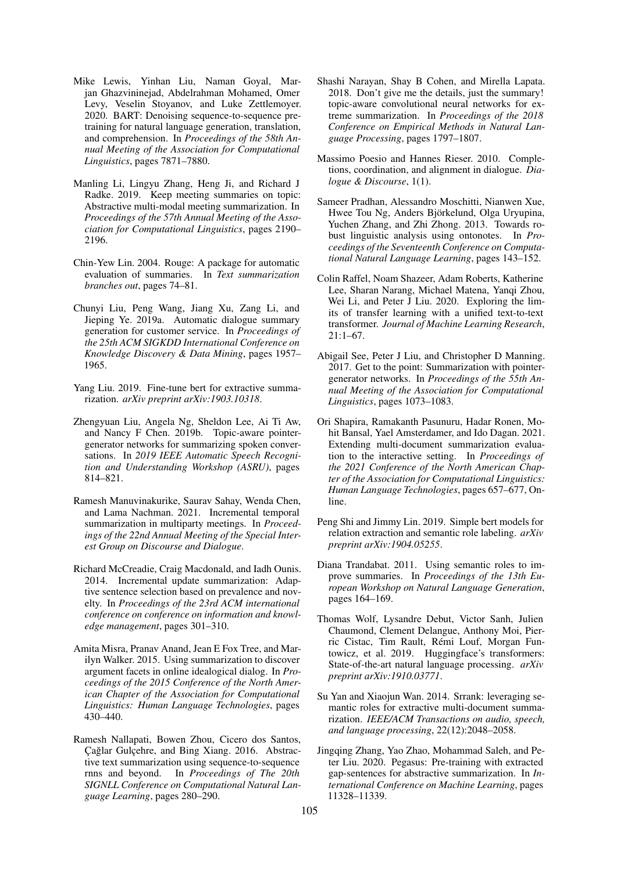- <span id="page-9-11"></span>Mike Lewis, Yinhan Liu, Naman Goyal, Marjan Ghazvininejad, Abdelrahman Mohamed, Omer Levy, Veselin Stoyanov, and Luke Zettlemoyer. 2020. BART: Denoising sequence-to-sequence pretraining for natural language generation, translation, and comprehension. In *Proceedings of the 58th Annual Meeting of the Association for Computational Linguistics*, pages 7871–7880.
- <span id="page-9-8"></span>Manling Li, Lingyu Zhang, Heng Ji, and Richard J Radke. 2019. Keep meeting summaries on topic: Abstractive multi-modal meeting summarization. In *Proceedings of the 57th Annual Meeting of the Association for Computational Linguistics*, pages 2190– 2196.
- <span id="page-9-19"></span>Chin-Yew Lin. 2004. Rouge: A package for automatic evaluation of summaries. In *Text summarization branches out*, pages 74–81.
- <span id="page-9-4"></span>Chunyi Liu, Peng Wang, Jiang Xu, Zang Li, and Jieping Ye. 2019a. Automatic dialogue summary generation for customer service. In *Proceedings of the 25th ACM SIGKDD International Conference on Knowledge Discovery & Data Mining*, pages 1957– 1965.
- <span id="page-9-6"></span>Yang Liu. 2019. Fine-tune bert for extractive summarization. *arXiv preprint arXiv:1903.10318*.
- <span id="page-9-9"></span>Zhengyuan Liu, Angela Ng, Sheldon Lee, Ai Ti Aw, and Nancy F Chen. 2019b. Topic-aware pointergenerator networks for summarizing spoken conversations. In *2019 IEEE Automatic Speech Recognition and Understanding Workshop (ASRU)*, pages 814–821.
- <span id="page-9-12"></span>Ramesh Manuvinakurike, Saurav Sahay, Wenda Chen, and Lama Nachman. 2021. Incremental temporal summarization in multiparty meetings. In *Proceedings of the 22nd Annual Meeting of the Special Interest Group on Discourse and Dialogue*.
- <span id="page-9-0"></span>Richard McCreadie, Craig Macdonald, and Iadh Ounis. 2014. Incremental update summarization: Adaptive sentence selection based on prevalence and novelty. In *Proceedings of the 23rd ACM international conference on conference on information and knowledge management*, pages 301–310.
- <span id="page-9-3"></span>Amita Misra, Pranav Anand, Jean E Fox Tree, and Marilyn Walker. 2015. Using summarization to discover argument facets in online idealogical dialog. In *Proceedings of the 2015 Conference of the North American Chapter of the Association for Computational Linguistics: Human Language Technologies*, pages 430–440.
- <span id="page-9-14"></span>Ramesh Nallapati, Bowen Zhou, Cicero dos Santos, Cağlar Gulçehre, and Bing Xiang. 2016. Abstractive text summarization using sequence-to-sequence rnns and beyond. In *Proceedings of The 20th SIGNLL Conference on Computational Natural Language Learning*, pages 280–290.
- <span id="page-9-2"></span>Shashi Narayan, Shay B Cohen, and Mirella Lapata. 2018. Don't give me the details, just the summary! topic-aware convolutional neural networks for extreme summarization. In *Proceedings of the 2018 Conference on Empirical Methods in Natural Language Processing*, pages 1797–1807.
- <span id="page-9-1"></span>Massimo Poesio and Hannes Rieser. 2010. Completions, coordination, and alignment in dialogue. *Dialogue & Discourse*, 1(1).
- <span id="page-9-18"></span>Sameer Pradhan, Alessandro Moschitti, Nianwen Xue, Hwee Tou Ng, Anders Björkelund, Olga Uryupina, Yuchen Zhang, and Zhi Zhong. 2013. Towards robust linguistic analysis using ontonotes. In *Proceedings of the Seventeenth Conference on Computational Natural Language Learning*, pages 143–152.
- <span id="page-9-10"></span>Colin Raffel, Noam Shazeer, Adam Roberts, Katherine Lee, Sharan Narang, Michael Matena, Yanqi Zhou, Wei Li, and Peter J Liu. 2020. Exploring the limits of transfer learning with a unified text-to-text transformer. *Journal of Machine Learning Research*, 21:1–67.
- <span id="page-9-5"></span>Abigail See, Peter J Liu, and Christopher D Manning. 2017. Get to the point: Summarization with pointergenerator networks. In *Proceedings of the 55th Annual Meeting of the Association for Computational Linguistics*, pages 1073–1083.
- <span id="page-9-20"></span>Ori Shapira, Ramakanth Pasunuru, Hadar Ronen, Mohit Bansal, Yael Amsterdamer, and Ido Dagan. 2021. Extending multi-document summarization evaluation to the interactive setting. In *Proceedings of the 2021 Conference of the North American Chapter of the Association for Computational Linguistics: Human Language Technologies*, pages 657–677, Online.
- <span id="page-9-17"></span>Peng Shi and Jimmy Lin. 2019. Simple bert models for relation extraction and semantic role labeling. *arXiv preprint arXiv:1904.05255*.
- <span id="page-9-16"></span>Diana Trandabat. 2011. Using semantic roles to improve summaries. In *Proceedings of the 13th European Workshop on Natural Language Generation*, pages 164–169.
- <span id="page-9-13"></span>Thomas Wolf, Lysandre Debut, Victor Sanh, Julien Chaumond, Clement Delangue, Anthony Moi, Pierric Cistac, Tim Rault, Rémi Louf, Morgan Funtowicz, et al. 2019. Huggingface's transformers: State-of-the-art natural language processing. *arXiv preprint arXiv:1910.03771*.
- <span id="page-9-15"></span>Su Yan and Xiaojun Wan. 2014. Srrank: leveraging semantic roles for extractive multi-document summarization. *IEEE/ACM Transactions on audio, speech, and language processing*, 22(12):2048–2058.
- <span id="page-9-7"></span>Jingqing Zhang, Yao Zhao, Mohammad Saleh, and Peter Liu. 2020. Pegasus: Pre-training with extracted gap-sentences for abstractive summarization. In *International Conference on Machine Learning*, pages 11328–11339.